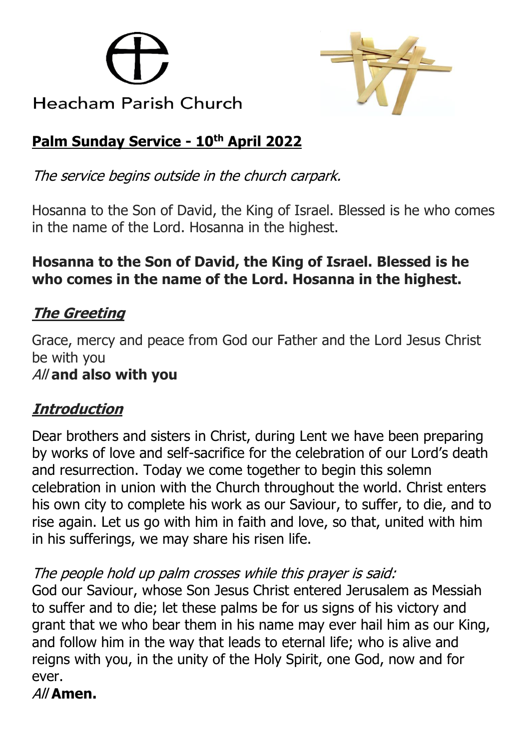



# **Palm Sunday Service - 10th April 2022**

The service begins outside in the church carpark.

Hosanna to the Son of David, the King of Israel. Blessed is he who comes in the name of the Lord. Hosanna in the highest.

## **Hosanna to the Son of David, the King of Israel. Blessed is he who comes in the name of the Lord. Hosanna in the highest.**

## **The Greeting**

Grace, mercy and peace from God our Father and the Lord Jesus Christ be with you All **and also with you**

## **Introduction**

Dear brothers and sisters in Christ, during Lent we have been preparing by works of love and self-sacrifice for the celebration of our Lord's death and resurrection. Today we come together to begin this solemn celebration in union with the Church throughout the world. Christ enters his own city to complete his work as our Saviour, to suffer, to die, and to rise again. Let us go with him in faith and love, so that, united with him in his sufferings, we may share his risen life.

#### The people hold up palm crosses while this prayer is said:

God our Saviour, whose Son Jesus Christ entered Jerusalem as Messiah to suffer and to die; let these palms be for us signs of his victory and grant that we who bear them in his name may ever hail him as our King, and follow him in the way that leads to eternal life; who is alive and reigns with you, in the unity of the Holy Spirit, one God, now and for ever.

### All **Amen.**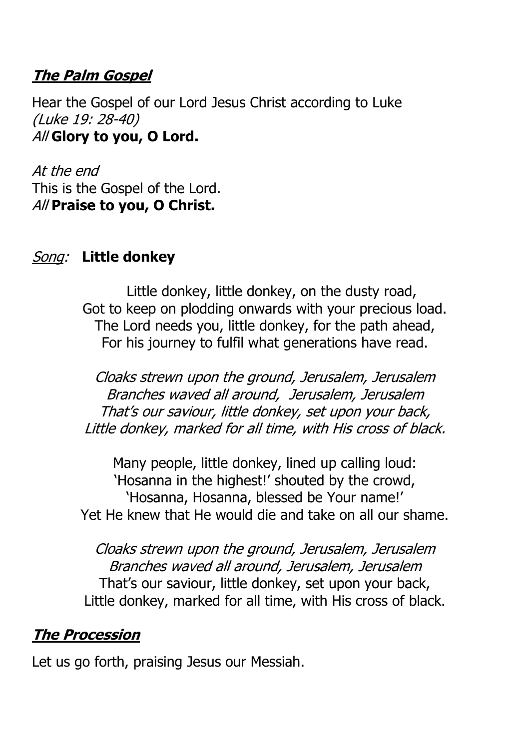### **The Palm Gospel**

Hear the Gospel of our Lord Jesus Christ according to Luke (Luke 19: 28-40) All **Glory to you, O Lord.**

At the end This is the Gospel of the Lord. All **Praise to you, O Christ.**

#### Song: **Little donkey**

Little donkey, little donkey, on the dusty road, Got to keep on plodding onwards with your precious load. The Lord needs you, little donkey, for the path ahead, For his journey to fulfil what generations have read.

Cloaks strewn upon the ground, Jerusalem, Jerusalem Branches waved all around, Jerusalem, Jerusalem That's our saviour, little donkey, set upon your back, Little donkey, marked for all time, with His cross of black.

Many people, little donkey, lined up calling loud: 'Hosanna in the highest!' shouted by the crowd, 'Hosanna, Hosanna, blessed be Your name!' Yet He knew that He would die and take on all our shame.

Cloaks strewn upon the ground, Jerusalem, Jerusalem Branches waved all around, Jerusalem, Jerusalem That's our saviour, little donkey, set upon your back, Little donkey, marked for all time, with His cross of black.

### **The Procession**

Let us go forth, praising Jesus our Messiah.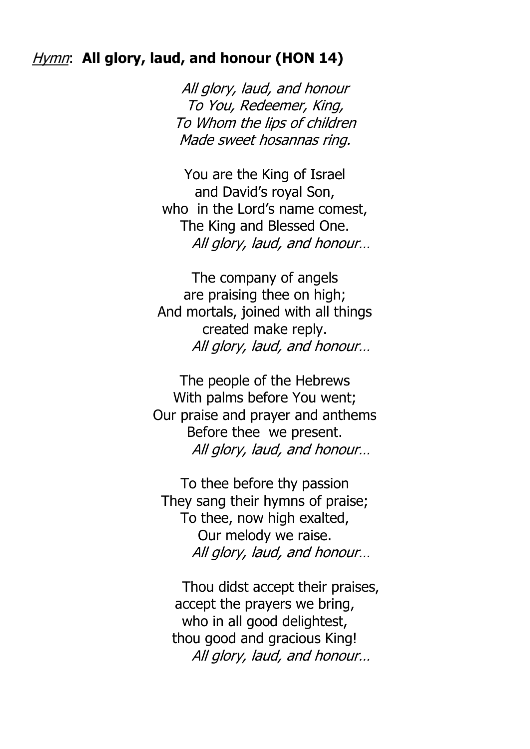#### Hymn: **All glory, laud, and honour (HON 14)**

All glory, laud, and honour To You, Redeemer, King, To Whom the lips of children Made sweet hosannas ring.

You are the King of Israel and David's royal Son, who in the Lord's name comest, The King and Blessed One. All glory, laud, and honour…

The company of angels are praising thee on high; And mortals, joined with all things created make reply. All glory, laud, and honour…

The people of the Hebrews With palms before You went; Our praise and prayer and anthems Before thee we present. All glory, laud, and honour…

To thee before thy passion They sang their hymns of praise; To thee, now high exalted, Our melody we raise. All glory, laud, and honour…

Thou didst accept their praises, accept the prayers we bring, who in all good delightest, thou good and gracious King! All glory, laud, and honour…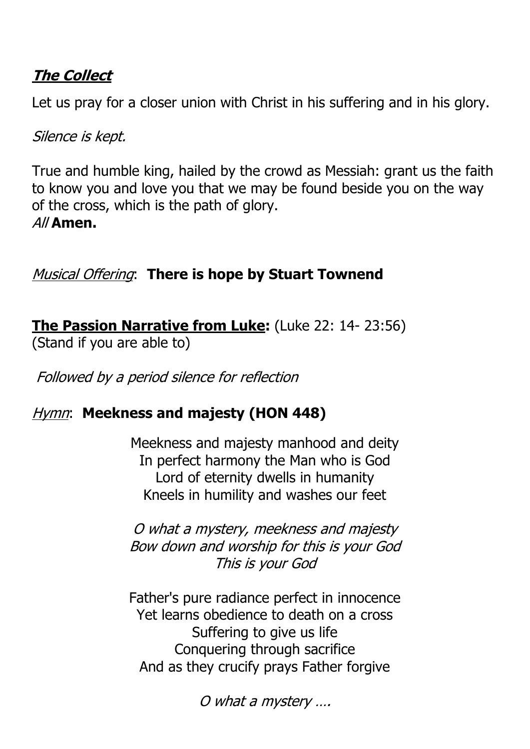## **The Collect**

Let us pray for a closer union with Christ in his suffering and in his glory.

### Silence is kept.

True and humble king, hailed by the crowd as Messiah: grant us the faith to know you and love you that we may be found beside you on the way of the cross, which is the path of glory. All **Amen.**

## Musical Offering: **There is hope by Stuart Townend**

## **The Passion Narrative from Luke:** (Luke 22: 14- 23:56)

(Stand if you are able to)

Followed by a period silence for reflection

# Hymn: **Meekness and majesty (HON 448)**

Meekness and majesty manhood and deity In perfect harmony the Man who is God Lord of eternity dwells in humanity Kneels in humility and washes our feet

O what a mystery, meekness and majesty Bow down and worship for this is your God This is your God

Father's pure radiance perfect in innocence Yet learns obedience to death on a cross Suffering to give us life Conquering through sacrifice And as they crucify prays Father forgive

O what a mystery ….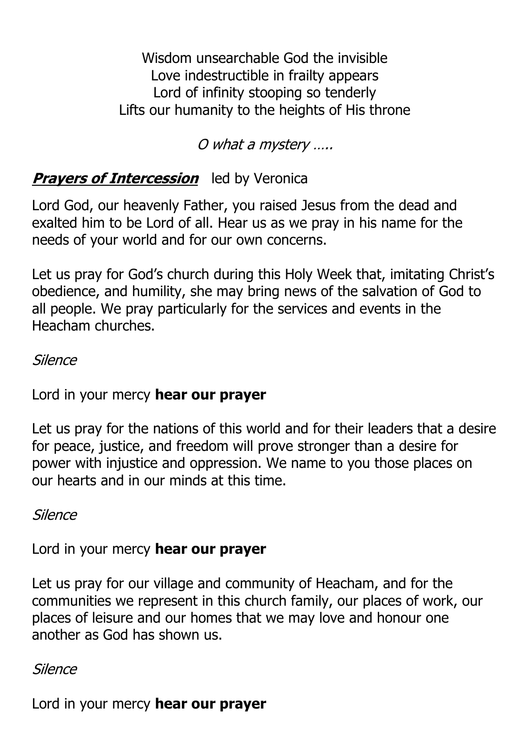Wisdom unsearchable God the invisible Love indestructible in frailty appears Lord of infinity stooping so tenderly Lifts our humanity to the heights of His throne

O what a mystery …..

## *Prayers of Intercession* led by Veronica

Lord God, our heavenly Father, you raised Jesus from the dead and exalted him to be Lord of all. Hear us as we pray in his name for the needs of your world and for our own concerns.

Let us pray for God's church during this Holy Week that, imitating Christ's obedience, and humility, she may bring news of the salvation of God to all people. We pray particularly for the services and events in the Heacham churches.

#### Silence

Lord in your mercy **hear our prayer**

Let us pray for the nations of this world and for their leaders that a desire for peace, justice, and freedom will prove stronger than a desire for power with injustice and oppression. We name to you those places on our hearts and in our minds at this time.

#### Silence

Lord in your mercy **hear our prayer**

Let us pray for our village and community of Heacham, and for the communities we represent in this church family, our places of work, our places of leisure and our homes that we may love and honour one another as God has shown us.

#### Silence

Lord in your mercy **hear our prayer**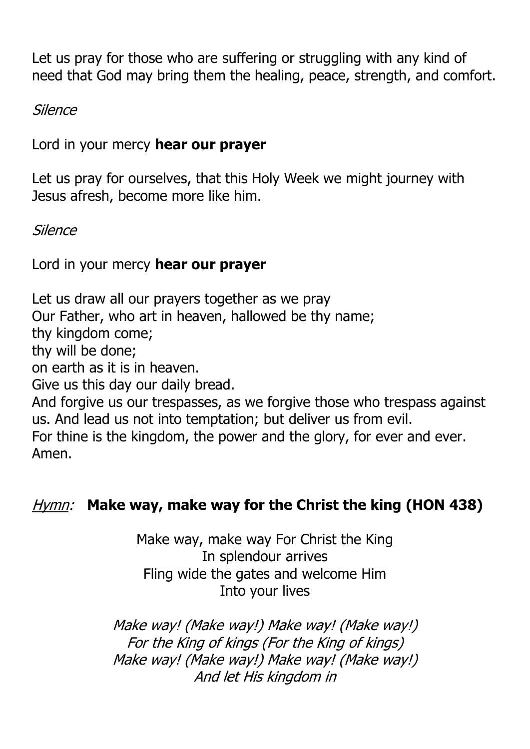Let us pray for those who are suffering or struggling with any kind of need that God may bring them the healing, peace, strength, and comfort.

#### Silence

Lord in your mercy **hear our prayer**

Let us pray for ourselves, that this Holy Week we might journey with Jesus afresh, become more like him.

#### Silence

Lord in your mercy **hear our prayer**

Let us draw all our prayers together as we pray Our Father, who art in heaven, hallowed be thy name; thy kingdom come; thy will be done; on earth as it is in heaven. Give us this day our daily bread. And forgive us our trespasses, as we forgive those who trespass against us. And lead us not into temptation; but deliver us from evil. For thine is the kingdom, the power and the glory, for ever and ever. Amen.

## Hymn: **Make way, make way for the Christ the king (HON 438)**

Make way, make way For Christ the King In splendour arrives Fling wide the gates and welcome Him Into your lives

Make way! (Make way!) Make way! (Make way!) For the King of kings (For the King of kings) Make way! (Make way!) Make way! (Make way!) And let His kingdom in